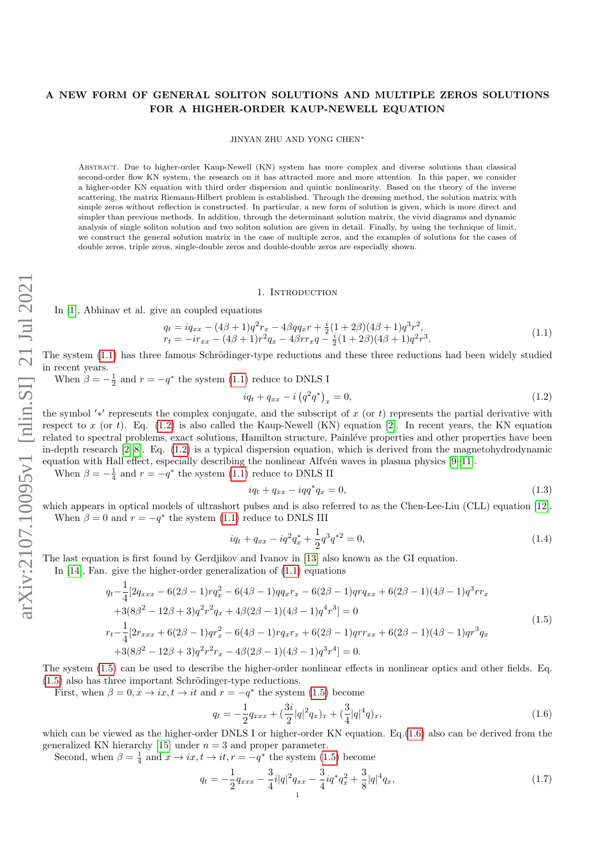# A NEW FORM OF GENERAL SOLITON SOLUTIONS AND MULTIPLE ZEROS SOLUTIONS FOR A HIGHER-ORDER KAUP-NEWELL EQUATION

JINYAN ZHU AND YONG CHEN<sup>∗</sup>

Abstract. Due to higher-order Kaup-Newell (KN) system has more complex and diverse solutions than classical second-order flow KN system, the research on it has attracted more and more attention. In this paper, we consider a higher-order KN equation with third order dispersion and quintic nonlinearity. Based on the theory of the inverse scattering, the matrix Riemann-Hilbert problem is established. Through the dressing method, the solution matrix with simple zeros without reflection is constructed. In particular, a new form of solution is given, which is more direct and simpler than previous methods. In addition, through the determinant solution matrix, the vivid diagrams and dynamic analysis of single soliton solution and two soliton solution are given in detail. Finally, by using the technique of limit, we construct the general solution matrix in the case of multiple zeros, and the examples of solutions for the cases of double zeros, triple zeros, single-double zeros and double-double zeros are especially shown.

#### 1. INTRODUCTION

In [\[1\]](#page-11-0), Abhinav et al. give an coupled equations

<span id="page-0-0"></span>
$$
q_{t} = iq_{xx} - (4\beta + 1)q^{2}r_{x} - 4\beta qq_{x}r + \frac{i}{2}(1 + 2\beta)(4\beta + 1)q^{3}r^{2},
$$
  
\n
$$
r_{t} = -ir_{xx} - (4\beta + 1)r^{2}q_{x} - 4\beta rr_{x}q - \frac{i}{2}(1 + 2\beta)(4\beta + 1)q^{2}r^{3}.
$$
\n(1.1)

The system [\(1.1\)](#page-0-0) has three famous Schrödinger-type reductions and these three reductions had been widely studied in recent years.

When  $\beta = -\frac{1}{2}$  and  $r = -q^*$  the system [\(1.1\)](#page-0-0) reduce to DNLS I

<span id="page-0-1"></span>
$$
iq_t + q_{xx} - i(q^2 q^*)_{x} = 0,
$$
\n(1.2)

the symbol '\*' represents the complex conjugate, and the subscript of x (or t) represents the partial derivative with respect to x (or t). Eq.  $(1.2)$  is also called the Kaup-Newell (KN) equation [\[2\]](#page-11-1). In recent years, the KN equation related to spectral problems, exact solutions, Hamilton structure, Painléve properties and other properties have been in-depth research [\[2](#page-11-1)[–8\]](#page-11-2). Eq. [\(1.2\)](#page-0-1) is a typical dispersion equation, which is derived from the magnetohydrodynamic equation with Hall effect, especially describing the nonlinear Alfv $\acute{e}$ n waves in plasma physics  $[9-11]$  $[9-11]$ .

When  $\beta = -\frac{1}{4}$  and  $r = -q^*$  the system [\(1.1\)](#page-0-0) reduce to DNLS II

$$
iq_t + q_{xx} - iqq^*q_x = 0,\t\t(1.3)
$$

which appears in optical models of ultrashort pulses and is also referred to as the Chen-Lee-Liu (CLL) equation [\[12\]](#page-11-5). When  $\beta = 0$  and  $r = -q^*$  the system [\(1.1\)](#page-0-0) reduce to DNLS III

$$
iq_t + q_{xx} - iq^2 q_x^* + \frac{1}{2} q^3 q^{*2} = 0,
$$
\n(1.4)

The last equation is first found by Gerdjikov and Ivanov in [\[13\]](#page-11-6) also known as the GI equation.

In  $[14]$ , Fan. give the higher-order generalization of  $(1.1)$  equations

<span id="page-0-2"></span>
$$
q_{t} - \frac{1}{4} [2q_{xxx} - 6(2\beta - 1)rq_{x}^{2} - 6(4\beta - 1)qq_{x}r_{x} - 6(2\beta - 1)qrq_{xx} + 6(2\beta - 1)(4\beta - 1)q^{3}rr_{x}
$$
  
\n
$$
+ 3(8\beta^{2} - 12\beta + 3)q^{2}r^{2}q_{x} + 4\beta(2\beta - 1)(4\beta - 1)q^{4}r^{3}] = 0
$$
  
\n
$$
r_{t} - \frac{1}{4} [2r_{xxx} + 6(2\beta - 1)qr_{x}^{2} - 6(4\beta - 1)rq_{x}r_{x} + 6(2\beta - 1)qrr_{xx} + 6(2\beta - 1)(4\beta - 1)qr^{3}q_{x}
$$
  
\n
$$
+ 3(8\beta^{2} - 12\beta + 3)q^{2}r^{2}r_{x} - 4\beta(2\beta - 1)(4\beta - 1)q^{3}r^{4}] = 0.
$$
\n(1.5)

The system [\(1.5\)](#page-0-2) can be used to describe the higher-order nonlinear effects in nonlinear optics and other fields. Eq.  $(1.5)$  also has three important Schrödinger-type reductions.

First, when  $\beta = 0, x \rightarrow ix, t \rightarrow it$  and  $r = -q^*$  the system [\(1.5\)](#page-0-2) become

<span id="page-0-3"></span>
$$
q_t = -\frac{1}{2}q_{xxx} + \left(\frac{3i}{2}|q|^2 q_x\right)_x + \left(\frac{3}{4}|q|^4 q\right)_x,\tag{1.6}
$$

which can be viewed as the higher-order DNLS I or higher-order KN equation. Eq.[\(1.6\)](#page-0-3) also can be derived from the generalized KN hierarchy [\[15\]](#page-11-8) under  $n = 3$  and proper parameter.

Second, when  $\beta = \frac{1}{4}$  and  $x \to ix, t \to it, r = -q^*$  the system [\(1.5\)](#page-0-2) become

<span id="page-0-4"></span>
$$
q_t = -\frac{1}{2}q_{xxx} - \frac{3}{4}i|q|^2 q_{xx} - \frac{3}{4}iq^*q_x^2 + \frac{3}{8}|q|^4 q_x,
$$
\n(1.7)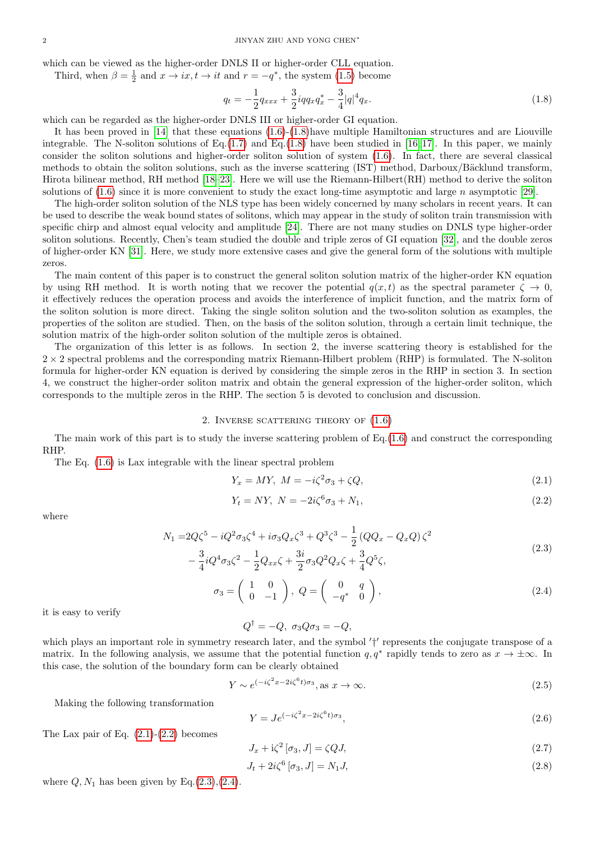which can be viewed as the higher-order DNLS II or higher-order CLL equation.

Third, when  $\beta = \frac{1}{2}$  and  $x \to ix, t \to it$  and  $r = -q^*$ , the system [\(1.5\)](#page-0-2) become

<span id="page-1-0"></span>
$$
q_t = -\frac{1}{2}q_{xxx} + \frac{3}{2}iqq_x q_x^* - \frac{3}{4}|q|^4 q_x.
$$
\n(1.8)

which can be regarded as the higher-order DNLS III or higher-order GI equation.

It has been proved in [\[14\]](#page-11-7) that these equations [\(1.6\)](#page-0-3)-[\(1.8\)](#page-1-0)have multiple Hamiltonian structures and are Liouville integrable. The N-soliton solutions of Eq.[\(1.7\)](#page-0-4) and Eq.[\(1.8\)](#page-1-0) have been studied in [\[16,](#page-11-9)17]. In this paper, we mainly consider the soliton solutions and higher-order soliton solution of system [\(1.6\)](#page-0-3). In fact, there are several classical methods to obtain the soliton solutions, such as the inverse scattering (IST) method, Darboux/Bäcklund transform, Hirota bilinear method, RH method [\[18](#page-11-11)[–23\]](#page-12-0). Here we will use the Riemann-Hilbert(RH) method to derive the soliton solutions of  $(1.6)$  since it is more convenient to study the exact long-time asymptotic and large n asymptotic [\[29\]](#page-12-1).

The high-order soliton solution of the NLS type has been widely concerned by many scholars in recent years. It can be used to describe the weak bound states of solitons, which may appear in the study of soliton train transmission with specific chirp and almost equal velocity and amplitude [\[24\]](#page-12-2). There are not many studies on DNLS type higher-order soliton solutions. Recently, Chen's team studied the double and triple zeros of GI equation [\[32\]](#page-12-3), and the double zeros of higher-order KN [\[31\]](#page-12-4). Here, we study more extensive cases and give the general form of the solutions with multiple zeros.

The main content of this paper is to construct the general soliton solution matrix of the higher-order KN equation by using RH method. It is worth noting that we recover the potential  $q(x, t)$  as the spectral parameter  $\zeta \to 0$ , it effectively reduces the operation process and avoids the interference of implicit function, and the matrix form of the soliton solution is more direct. Taking the single soliton solution and the two-soliton solution as examples, the properties of the soliton are studied. Then, on the basis of the soliton solution, through a certain limit technique, the solution matrix of the high-order soliton solution of the multiple zeros is obtained.

The organization of this letter is as follows. In section 2, the inverse scattering theory is established for the  $2 \times 2$  spectral problems and the corresponding matrix Riemann-Hilbert problem (RHP) is formulated. The N-soliton formula for higher-order KN equation is derived by considering the simple zeros in the RHP in section 3. In section 4, we construct the higher-order soliton matrix and obtain the general expression of the higher-order soliton, which corresponds to the multiple zeros in the RHP. The section 5 is devoted to conclusion and discussion.

## 2. INVERSE SCATTERING THEORY OF  $(1.6)$

The main work of this part is to study the inverse scattering problem of Eq.[\(1.6\)](#page-0-3) and construct the corresponding RHP.

The Eq. [\(1.6\)](#page-0-3) is Lax integrable with the linear spectral problem

<span id="page-1-1"></span>
$$
Y_x = MY, \ M = -i\zeta^2 \sigma_3 + \zeta Q,\tag{2.1}
$$

<span id="page-1-2"></span>
$$
Y_t = NY, \ N = -2i\zeta^6 \sigma_3 + N_1,\tag{2.2}
$$

<span id="page-1-3"></span>where

$$
N_1 = 2Q\zeta^5 - iQ^2\sigma_3\zeta^4 + i\sigma_3Q_x\zeta^3 + Q^3\zeta^3 - \frac{1}{2}(QQ_x - Q_xQ)\zeta^2 - \frac{3}{4}iQ^4\sigma_3\zeta^2 - \frac{1}{2}Q_{xx}\zeta + \frac{3i}{2}\sigma_3Q^2Q_x\zeta + \frac{3}{4}Q^5\zeta,
$$
\n(2.3)

<span id="page-1-4"></span>
$$
\sigma_3 = \begin{pmatrix} 1 & 0 \\ 0 & -1 \end{pmatrix}, \ Q = \begin{pmatrix} 0 & q \\ -q^* & 0 \end{pmatrix}, \tag{2.4}
$$

it is easy to verify

$$
Q^{\dagger} = -Q, \ \sigma_3 Q \sigma_3 = -Q,
$$

which plays an important role in symmetry research later, and the symbol  $'$ <sup>+'</sup> represents the conjugate transpose of a matrix. In the following analysis, we assume that the potential function  $q, q^*$  rapidly tends to zero as  $x \to \pm \infty$ . In this case, the solution of the boundary form can be clearly obtained

$$
Y \sim e^{(-i\zeta^2 x - 2i\zeta^6 t)\sigma_3}, \text{as } x \to \infty. \tag{2.5}
$$

Making the following transformation

<span id="page-1-6"></span>
$$
Y = Je^{(-i\zeta^2 x - 2i\zeta^6 t)\sigma_3},\tag{2.6}
$$

The Lax pair of Eq.  $(2.1)-(2.2)$  $(2.1)-(2.2)$  becomes

<span id="page-1-7"></span>
$$
J_x + i\zeta^2 \left[ \sigma_3, J \right] = \zeta Q J,\tag{2.7}
$$

<span id="page-1-5"></span>
$$
J_t + 2i\zeta^6 \left[ \sigma_3, J \right] = N_1 J,\tag{2.8}
$$

where  $Q, N_1$  has been given by Eq.[\(2.3\)](#page-1-3),[\(2.4\)](#page-1-4).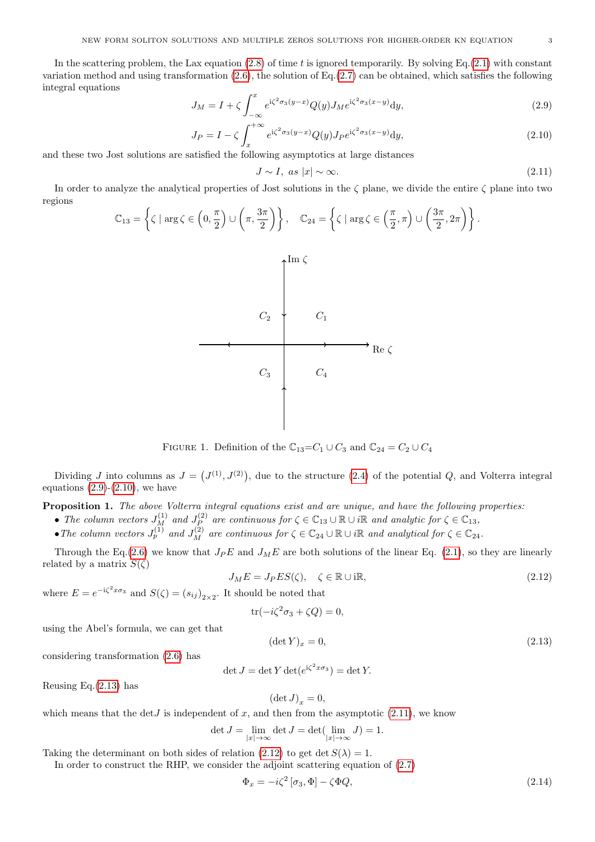In the scattering problem, the Lax equation  $(2.8)$  of time t is ignored temporarily. By solving Eq. $(2.1)$  with constant variation method and using transformation  $(2.6)$ , the solution of Eq. $(2.7)$  can be obtained, which satisfies the following integral equations

<span id="page-2-0"></span>
$$
J_M = I + \zeta \int_{-\infty}^{x} e^{i\zeta^2 \sigma_3(y-x)} Q(y) J_M e^{i\zeta^2 \sigma_3(x-y)} dy,
$$
\n(2.9)

<span id="page-2-1"></span>
$$
J_P = I - \zeta \int_x^{+\infty} e^{i\zeta^2 \sigma_3(y-x)} Q(y) J_P e^{i\zeta^2 \sigma_3(x-y)} dy,
$$
\n(2.10)

and these two Jost solutions are satisfied the following asymptotics at large distances

<span id="page-2-3"></span>
$$
J \sim I, \text{ as } |x| \sim \infty. \tag{2.11}
$$

In order to analyze the analytical properties of Jost solutions in the  $\zeta$  plane, we divide the entire  $\zeta$  plane into two regions

$$
\mathbb{C}_{13} = \left\{ \zeta \mid \arg \zeta \in \left(0, \frac{\pi}{2}\right) \cup \left(\pi, \frac{3\pi}{2}\right) \right\}, \quad \mathbb{C}_{24} = \left\{ \zeta \mid \arg \zeta \in \left(\frac{\pi}{2}, \pi\right) \cup \left(\frac{3\pi}{2}, 2\pi\right) \right\}.
$$

Im ζ



FIGURE 1. Definition of the  $\mathbb{C}_{13} = C_1 \cup C_3$  and  $\mathbb{C}_{24} = C_2 \cup C_4$ 

Dividing J into columns as  $J = (J^{(1)}, J^{(2)})$ , due to the structure [\(2.4\)](#page-1-4) of the potential Q, and Volterra integral equations  $(2.9)-(2.10)$  $(2.9)-(2.10)$ , we have

Proposition 1. The above Volterra integral equations exist and are unique, and have the following properties:

- The column vectors  $J_M^{(1)}$  and  $J_P^{(2)}$  $P_P^{(2)}$  are continuous for  $\zeta \in \mathbb{C}_{13} \cup \mathbb{R} \cup i\mathbb{R}$  and analytic for  $\zeta \in \mathbb{C}_{13}$ ,
- The column vectors  $J_p^{(1)}$  and  $J_M^{(2)}$  are continuous for  $\zeta \in \mathbb{C}_{24} \cup \mathbb{R} \cup i\mathbb{R}$  and analytical for  $\zeta \in \mathbb{C}_{24}$ .

Through the Eq.[\(2.6\)](#page-1-6) we know that  $J_p E$  and  $J_M E$  are both solutions of the linear Eq. [\(2.1\)](#page-1-1), so they are linearly related by a matrix  $S(\zeta)$ 

<span id="page-2-4"></span>
$$
J_M E = J_P E S(\zeta), \quad \zeta \in \mathbb{R} \cup \text{i} \mathbb{R}, \tag{2.12}
$$

where  $E = e^{-i\zeta^2 x \sigma_3}$  and  $S(\zeta) = (s_{ij})_{2 \times 2}$ . It should be noted that

$$
\operatorname{tr}(-i\zeta^2\sigma_3 + \zeta Q) = 0,
$$

using the Abel's formula, we can get that

<span id="page-2-2"></span>
$$
(\det Y)_x = 0,\tag{2.13}
$$

considering transformation [\(2.6\)](#page-1-6) has

$$
\det J = \det Y \det(e^{i\zeta^2 x \sigma_3}) = \det Y.
$$

Reusing Eq.[\(2.13\)](#page-2-2) has

$$
(\det J)_x = 0,
$$

which means that the det *J* is independent of x, and then from the asymptotic  $(2.11)$ , we know

$$
\det J = \lim_{|x| \to \infty} \det J = \det(\lim_{|x| \to \infty} J) = 1.
$$

Taking the determinant on both sides of relation [\(2.12\)](#page-2-4) to get det  $S(\lambda) = 1$ .

In order to construct the RHP, we consider the adjoint scattering equation of [\(2.7\)](#page-1-7)

<span id="page-2-5"></span>
$$
\Phi_x = -i\zeta^2 \left[ \sigma_3, \Phi \right] - \zeta \Phi Q,\tag{2.14}
$$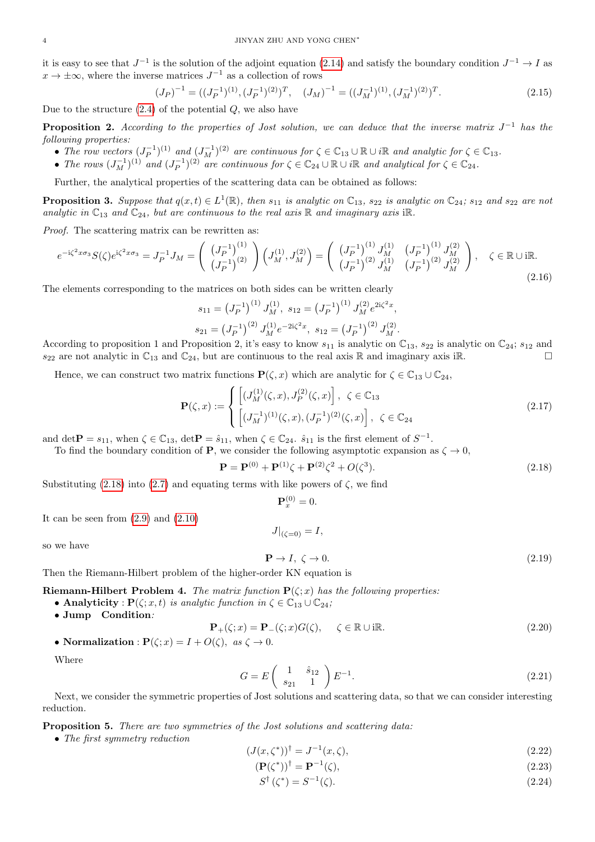it is easy to see that  $J^{-1}$  is the solution of the adjoint equation [\(2.14\)](#page-2-5) and satisfy the boundary condition  $J^{-1} \to I$  as  $x \to \pm \infty$ , where the inverse matrices  $J^{-1}$  as a collection of rows

$$
(J_P)^{-1} = ((J_P^{-1})^{(1)}, (J_P^{-1})^{(2)})^T, \quad (J_M)^{-1} = ((J_M^{-1})^{(1)}, (J_M^{-1})^{(2)})^T.
$$
\n
$$
(2.15)
$$

Due to the structure  $(2.4)$  of the potential  $Q$ , we also have

**Proposition 2.** According to the properties of Jost solution, we can deduce that the inverse matrix  $J^{-1}$  has the following properties:

- The row vectors  $(J_P^{-1})^{(1)}$  and  $(J_M^{-1})^{(2)}$  are continuous for  $\zeta \in \mathbb{C}_{13} \cup \mathbb{R} \cup i\mathbb{R}$  and analytic for  $\zeta \in \mathbb{C}_{13}$ .
- The rows  $(J_M^{-1})^{(1)}$  and  $(J_P^{-1})^{(2)}$  are continuous for  $\zeta \in \mathbb{C}_{24} \cup \mathbb{R} \cup i\mathbb{R}$  and analytical for  $\zeta \in \mathbb{C}_{24}$ .

Further, the analytical properties of the scattering data can be obtained as follows:

**Proposition 3.** Suppose that  $q(x,t) \in L^1(\mathbb{R})$ , then  $s_{11}$  is analytic on  $\mathbb{C}_{13}$ ,  $s_{22}$  is analytic on  $\mathbb{C}_{24}$ ;  $s_{12}$  and  $s_{22}$  are not analytic in  $\mathbb{C}_{13}$  and  $\mathbb{C}_{24}$ , but are continuous to the real axis  $\mathbb R$  and imaginary axis i $\mathbb R$ .

Proof. The scattering matrix can be rewritten as:

$$
e^{-i\zeta^2 x \sigma_3} S(\zeta) e^{i\zeta^2 x \sigma_3} = J_P^{-1} J_M = \begin{pmatrix} (J_P^{-1})^{(1)} \\ (J_P^{-1})^{(2)} \end{pmatrix} \begin{pmatrix} J_M^{(1)} & J_M^{(2)} \\ (J_M^{-1})^{(2)} & J_M^{(2)} \end{pmatrix} = \begin{pmatrix} (J_P^{-1})^{(1)} & J_M^{(1)} \\ (J_P^{-1})^{(2)} & J_M^{(1)} \end{pmatrix} \begin{pmatrix} J_M^{-1} & J_M^{(2)} \\ (J_P^{-1})^{(2)} & J_M^{(2)} \end{pmatrix}, \quad \zeta \in \mathbb{R} \cup i\mathbb{R}.
$$
\n(2.16)

The elements corresponding to the matrices on both sides can be written clearly

$$
s_{11} = (J_P^{-1})^{(1)} J_M^{(1)}, \ s_{12} = (J_P^{-1})^{(1)} J_M^{(2)} e^{2i\zeta^2 x},
$$
  

$$
s_{21} = (J_P^{-1})^{(2)} J_M^{(1)} e^{-2i\zeta^2 x}, \ s_{12} = (J_P^{-1})^{(2)} J_M^{(2)}.
$$

According to proposition 1 and Proposition 2, it's easy to know  $s_{11}$  is analytic on  $\mathbb{C}_{13}$ ,  $s_{22}$  is analytic on  $\mathbb{C}_{24}$ ;  $s_{12}$  and  $s_{22}$  are not analytic in  $\mathbb{C}_{13}$  and  $\mathbb{C}_{24}$ , but are continuous to the real axis R and imaginary axis iR.

Hence, we can construct two matrix functions  $\mathbf{P}(\zeta, x)$  which are analytic for  $\zeta \in \mathbb{C}_{13} \cup \mathbb{C}_{24}$ ,

$$
\mathbf{P}(\zeta, x) := \begin{cases} \left[ (J_M^{(1)}(\zeta, x), J_P^{(2)}(\zeta, x) \right], & \zeta \in \mathbb{C}_{13} \\ \left[ (J_M^{-1})^{(1)}(\zeta, x), (J_P^{-1})^{(2)}(\zeta, x) \right], & \zeta \in \mathbb{C}_{24} \end{cases}
$$
(2.17)

and  $\det \mathbf{P} = s_{11}$ , when  $\zeta \in \mathbb{C}_{13}$ ,  $\det \mathbf{P} = \hat{s}_{11}$ , when  $\zeta \in \mathbb{C}_{24}$ .  $\hat{s}_{11}$  is the first element of  $S^{-1}$ .

To find the boundary condition of **P**, we consider the following asymptotic expansion as  $\zeta \to 0$ ,

<span id="page-3-0"></span>
$$
\mathbf{P} = \mathbf{P}^{(0)} + \mathbf{P}^{(1)}\zeta + \mathbf{P}^{(2)}\zeta^2 + O(\zeta^3). \tag{2.18}
$$

Substituting [\(2.18\)](#page-3-0) into [\(2.7\)](#page-1-7) and equating terms with like powers of  $\zeta$ , we find

$$
\mathbf{P}_x^{(0)} = 0.
$$

It can be seen from  $(2.9)$  and  $(2.10)$ 

$$
J|_{(\zeta=0)}=I,
$$

so we have

 $\mathbf{P} \to I, \ \zeta \to 0.$  (2.19)

Then the Riemann-Hilbert problem of the higher-order KN equation is

**Riemann-Hilbert Problem 4.** The matrix function  $P(\zeta; x)$  has the following properties:

- Analyticity :  $P(\zeta; x, t)$  is analytic function in  $\zeta \in \mathbb{C}_{13} \cup \mathbb{C}_{24}$ ;
- Jump Condition:

<span id="page-3-3"></span>
$$
\mathbf{P}_{+}(\zeta;x) = \mathbf{P}_{-}(\zeta;x)G(\zeta), \quad \zeta \in \mathbb{R} \cup \text{i}\mathbb{R}.
$$
 (2.20)

• Normalization : 
$$
P(\zeta; x) = I + O(\zeta)
$$
, as  $\zeta \to 0$ .

Where

<span id="page-3-4"></span>
$$
G = E \begin{pmatrix} 1 & \hat{s}_{12} \\ s_{21} & 1 \end{pmatrix} E^{-1}.
$$
 (2.21)

Next, we consider the symmetric properties of Jost solutions and scattering data, so that we can consider interesting reduction.

Proposition 5. There are two symmetries of the Jost solutions and scattering data:

• The first symmetry reduction

$$
(J(x,\zeta^*))^{\dagger} = J^{-1}(x,\zeta),\tag{2.22}
$$

<span id="page-3-2"></span> $(\mathbf{P}(\zeta^*))^{\dagger} = \mathbf{P}^{-1}$  $(\zeta),$  (2.23)

<span id="page-3-1"></span>
$$
S^{\dagger}(\zeta^*) = S^{-1}(\zeta). \tag{2.24}
$$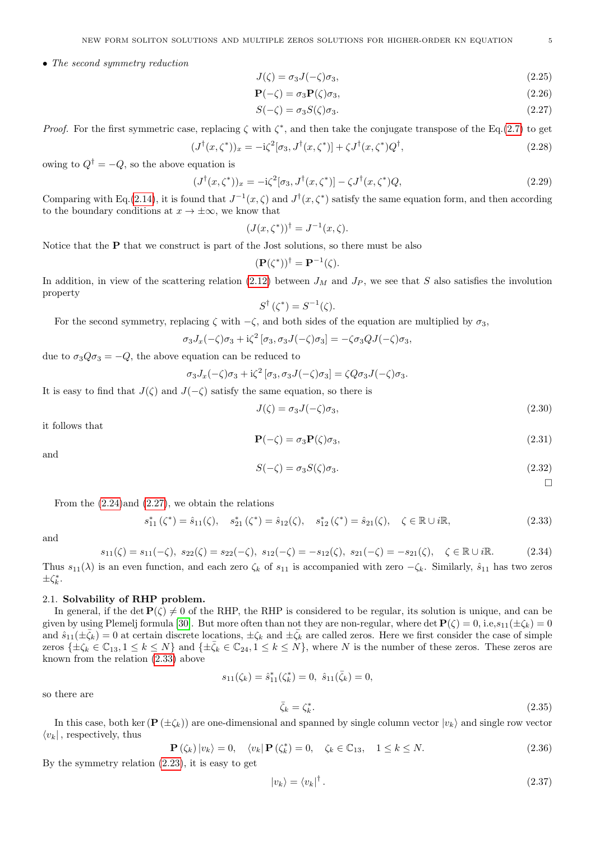• The second symmetry reduction

$$
J(\zeta) = \sigma_3 J(-\zeta)\sigma_3,\tag{2.25}
$$

<span id="page-4-3"></span>
$$
\mathbf{P}(-\zeta) = \sigma_3 \mathbf{P}(\zeta) \sigma_3,\tag{2.26}
$$

<span id="page-4-0"></span>
$$
S(-\zeta) = \sigma_3 S(\zeta) \sigma_3. \tag{2.27}
$$

Proof. For the first symmetric case, replacing  $\zeta$  with  $\zeta^*$ , and then take the conjugate transpose of the Eq.[\(2.7\)](#page-1-7) to get

$$
(J^{\dagger}(x,\zeta^*))_x = -\mathrm{i}\zeta^2[\sigma_3, J^{\dagger}(x,\zeta^*)] + \zeta J^{\dagger}(x,\zeta^*)Q^{\dagger},\tag{2.28}
$$

owing to  $Q^{\dagger} = -Q$ , so the above equation is

$$
(J^{\dagger}(x,\zeta^*))_x = -\mathrm{i}\zeta^2[\sigma_3, J^{\dagger}(x,\zeta^*)] - \zeta J^{\dagger}(x,\zeta^*)Q,\tag{2.29}
$$

Comparing with Eq.[\(2.14\)](#page-2-5), it is found that  $J^{-1}(x,\zeta)$  and  $J^{\dagger}(x,\zeta^*)$  satisfy the same equation form, and then according to the boundary conditions at  $x \to \pm \infty$ , we know that

$$
(J(x,\zeta^*))^{\dagger} = J^{-1}(x,\zeta).
$$

Notice that the **P** that we construct is part of the Jost solutions, so there must be also

$$
(\mathbf{P}(\zeta^*))^{\dagger} = \mathbf{P}^{-1}(\zeta).
$$

In addition, in view of the scattering relation [\(2.12\)](#page-2-4) between  $J_M$  and  $J_P$ , we see that S also satisfies the involution property

$$
S^{\dagger}(\zeta^*) = S^{-1}(\zeta).
$$

For the second symmetry, replacing  $\zeta$  with  $-\zeta$ , and both sides of the equation are multiplied by  $\sigma_3$ ,

$$
\sigma_3 J_x(-\zeta)\sigma_3 + i\zeta^2 [\sigma_3, \sigma_3 J(-\zeta)\sigma_3] = -\zeta \sigma_3 Q J(-\zeta)\sigma_3,
$$

due to  $\sigma_3 Q \sigma_3 = -Q$ , the above equation can be reduced to

$$
\sigma_3 J_x(-\zeta)\sigma_3 + i\zeta^2 [\sigma_3, \sigma_3 J(-\zeta)\sigma_3] = \zeta Q \sigma_3 J(-\zeta)\sigma_3.
$$

It is easy to find that  $J(\zeta)$  and  $J(-\zeta)$  satisfy the same equation, so there is

$$
J(\zeta) = \sigma_3 J(-\zeta)\sigma_3,\tag{2.30}
$$

it follows that

$$
\mathbf{P}(-\zeta) = \sigma_3 \mathbf{P}(\zeta) \sigma_3,\tag{2.31}
$$

and

$$
S(-\zeta) = \sigma_3 S(\zeta) \sigma_3. \tag{2.32}
$$

 $\Box$ 

From the [\(2.24\)](#page-3-1)and [\(2.27\)](#page-4-0), we obtain the relations

<span id="page-4-1"></span>
$$
s_{11}^*(\zeta^*) = \hat{s}_{11}(\zeta), \quad s_{21}^*(\zeta^*) = \hat{s}_{12}(\zeta), \quad s_{12}^*(\zeta^*) = \hat{s}_{21}(\zeta), \quad \zeta \in \mathbb{R} \cup i\mathbb{R}, \tag{2.33}
$$

and

<span id="page-4-2"></span>
$$
s_{11}(\zeta) = s_{11}(-\zeta), \ s_{22}(\zeta) = s_{22}(-\zeta), \ s_{12}(-\zeta) = -s_{12}(\zeta), \ s_{21}(-\zeta) = -s_{21}(\zeta), \quad \zeta \in \mathbb{R} \cup i\mathbb{R}.
$$
 (2.34)

Thus  $s_{11}(\lambda)$  is an even function, and each zero  $\zeta_k$  of  $s_{11}$  is accompanied with zero  $-\zeta_k$ . Similarly,  $\hat{s}_{11}$  has two zeros  $\pm \zeta_k^*$ .

## 2.1. Solvability of RHP problem.

In general, if the det  $\mathbf{P}(\zeta) \neq 0$  of the RHP, the RHP is considered to be regular, its solution is unique, and can be given by using Plemelj formula [\[30\]](#page-12-5). But more often than not they are non-regular, where det  $\mathbf{P}(\zeta) = 0$ , i.e, $s_{11}(\pm \zeta_k) = 0$ and  $\hat{s}_{11}(\pm \bar{\zeta}_k) = 0$  at certain discrete locations,  $\pm \zeta_k$  and  $\pm \bar{\zeta}_k$  are called zeros. Here we first consider the case of simple zeros  $\{\pm \zeta_k \in \mathbb{C}_{13}, 1 \leq k \leq N\}$  and  $\{\pm \bar{\zeta}_k \in \mathbb{C}_{24}, 1 \leq k \leq N\}$ , where N is the number of these zeros. These zeros are known from the relation [\(2.33\)](#page-4-1) above

$$
s_{11}(\zeta_k) = \hat{s}_{11}^*(\zeta_k^*) = 0, \ \hat{s}_{11}(\bar{\zeta}_k) = 0,
$$

so there are

$$
\bar{\zeta}_k = \zeta_k^*.\tag{2.35}
$$

In this case, both ker ( $\mathbf{P}(\pm \zeta_k)$ ) are one-dimensional and spanned by single column vector  $|v_k\rangle$  and single row vector  $\langle v_k|$ , respectively, thus

<span id="page-4-4"></span>
$$
\mathbf{P}\left(\zeta_{k}\right)|v_{k}\rangle=0, \quad \langle v_{k}|\mathbf{P}\left(\zeta_{k}^{*}\right)=0, \quad \zeta_{k}\in\mathbb{C}_{13}, \quad 1\leq k\leq N. \tag{2.36}
$$

By the symmetry relation [\(2.23\)](#page-3-2), it is easy to get

$$
|v_k\rangle = \langle v_k|^\dagger. \tag{2.37}
$$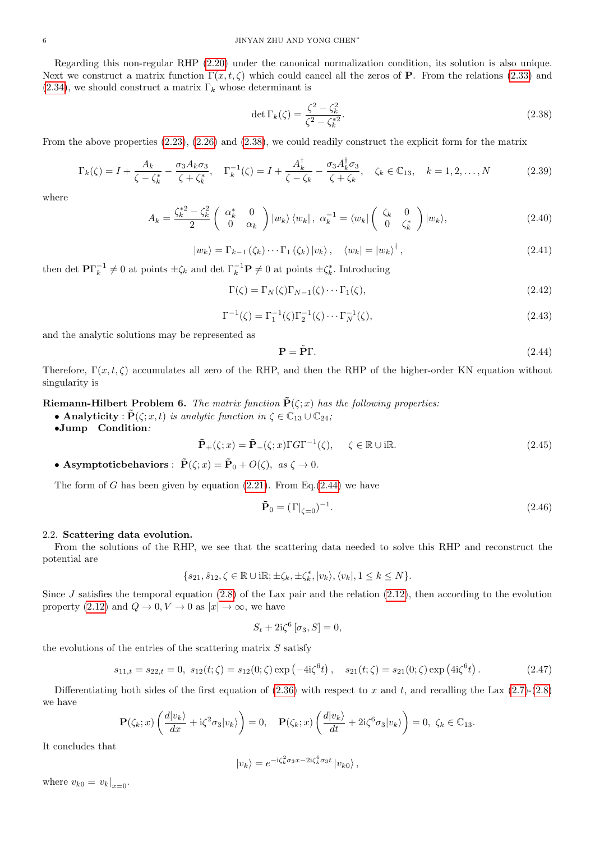Regarding this non-regular RHP [\(2.20\)](#page-3-3) under the canonical normalization condition, its solution is also unique. Next we construct a matrix function  $\Gamma(x, t, \zeta)$  which could cancel all the zeros of **P**. From the relations [\(2.33\)](#page-4-1) and  $(2.34)$ , we should construct a matrix  $\Gamma_k$  whose determinant is

<span id="page-5-0"></span>
$$
\det \Gamma_k(\zeta) = \frac{\zeta^2 - \zeta_k^2}{\zeta^2 - \zeta_k^{*2}}.
$$
\n(2.38)

From the above properties [\(2.23\)](#page-3-2), [\(2.26\)](#page-4-3) and [\(2.38\)](#page-5-0), we could readily construct the explicit form for the matrix

$$
\Gamma_k(\zeta) = I + \frac{A_k}{\zeta - \zeta_k^*} - \frac{\sigma_3 A_k \sigma_3}{\zeta + \zeta_k^*}, \quad \Gamma_k^{-1}(\zeta) = I + \frac{A_k^{\dagger}}{\zeta - \zeta_k} - \frac{\sigma_3 A_k^{\dagger} \sigma_3}{\zeta + \zeta_k}, \quad \zeta_k \in \mathbb{C}_{13}, \quad k = 1, 2, ..., N \tag{2.39}
$$

where

$$
A_k = \frac{\zeta_k^{*2} - \zeta_k^2}{2} \begin{pmatrix} \alpha_k^* & 0\\ 0 & \alpha_k \end{pmatrix} |w_k\rangle \langle w_k|, \ \alpha_k^{-1} = \langle w_k | \begin{pmatrix} \zeta_k & 0\\ 0 & \zeta_k^* \end{pmatrix} |w_k\rangle, \tag{2.40}
$$

$$
|w_k\rangle = \Gamma_{k-1}(\zeta_k)\cdots\Gamma_1(\zeta_k)|v_k\rangle, \quad \langle w_k| = |w_k\rangle^{\dagger}, \tag{2.41}
$$

then det  $\mathbf{P}\Gamma_k^{-1} \neq 0$  at points  $\pm \zeta_k$  and det  $\Gamma_k^{-1}\mathbf{P} \neq 0$  at points  $\pm \zeta_k^*$ . Introducing

<span id="page-5-4"></span>
$$
\Gamma(\zeta) = \Gamma_N(\zeta)\Gamma_{N-1}(\zeta)\cdots\Gamma_1(\zeta),\tag{2.42}
$$

<span id="page-5-5"></span>
$$
\Gamma^{-1}(\zeta) = \Gamma_1^{-1}(\zeta)\Gamma_2^{-1}(\zeta)\cdots\Gamma_N^{-1}(\zeta),\tag{2.43}
$$

and the analytic solutions may be represented as

<span id="page-5-1"></span>
$$
\mathbf{P} = \tilde{\mathbf{P}} \Gamma. \tag{2.44}
$$

Therefore,  $\Gamma(x, t, \zeta)$  accumulates all zero of the RHP, and then the RHP of the higher-order KN equation without singularity is

Riemann-Hilbert Problem 6. The matrix function  $\tilde{P}(\zeta; x)$  has the following properties:

• Analyticity :  $\tilde{P}(\zeta; x, t)$  is analytic function in  $\zeta \in \mathbb{C}_{13} \cup \mathbb{C}_{24}$ ;

•Jump Condition:

<span id="page-5-2"></span>
$$
\tilde{\mathbf{P}}_{+}(\zeta;x) = \tilde{\mathbf{P}}_{-}(\zeta;x)\Gamma G\Gamma^{-1}(\zeta), \quad \zeta \in \mathbb{R} \cup \text{i}\mathbb{R}.
$$
\n(2.45)

• Asymptotic behaviors :  $\tilde{P}(\zeta; x) = \tilde{P}_0 + O(\zeta)$ , as  $\zeta \to 0$ .

The form of G has been given by equation  $(2.21)$ . From Eq. $(2.44)$  we have

<span id="page-5-3"></span>
$$
\tilde{\mathbf{P}}_0 = (\Gamma|_{\zeta=0})^{-1}.
$$
\n(2.46)

## 2.2. Scattering data evolution.

From the solutions of the RHP, we see that the scattering data needed to solve this RHP and reconstruct the potential are

$$
\{s_{21},\hat{s}_{12},\zeta\in\mathbb{R}\cup\mathrm{i}\mathbb{R};\pm\zeta_k,\pm\zeta_k^*,|v_k\rangle,\langle v_k|,1\leq k\leq N\}.
$$

Since  $J$  satisfies the temporal equation  $(2.8)$  of the Lax pair and the relation  $(2.12)$ , then according to the evolution property [\(2.12\)](#page-2-4) and  $Q \to 0, V \to 0$  as  $|x| \to \infty$ , we have

$$
S_t + 2i\zeta^6 \left[ \sigma_3, S \right] = 0,
$$

the evolutions of the entries of the scattering matrix  $S$  satisfy

$$
s_{11,t} = s_{22,t} = 0, \ s_{12}(t;\zeta) = s_{12}(0;\zeta) \exp\left(-4i\zeta^6 t\right), \quad s_{21}(t;\zeta) = s_{21}(0;\zeta) \exp\left(4i\zeta^6 t\right). \tag{2.47}
$$

Differentiating both sides of the first equation of  $(2.36)$  with respect to x and t, and recalling the Lax  $(2.7)-(2.8)$  $(2.7)-(2.8)$ we have

$$
\mathbf{P}(\zeta_k; x) \left( \frac{d|v_k\rangle}{dx} + i\zeta^2 \sigma_3 |v_k\rangle \right) = 0, \quad \mathbf{P}(\zeta_k; x) \left( \frac{d|v_k\rangle}{dt} + 2i\zeta^6 \sigma_3 |v_k\rangle \right) = 0, \ \zeta_k \in \mathbb{C}_{13}.
$$

It concludes that

$$
|v_k\rangle = e^{-i\zeta_k^2 \sigma_3 x - 2i\zeta_k^6 \sigma_3 t} |v_{k0}\rangle,
$$

where  $v_{k0} = v_k|_{x=0}$ .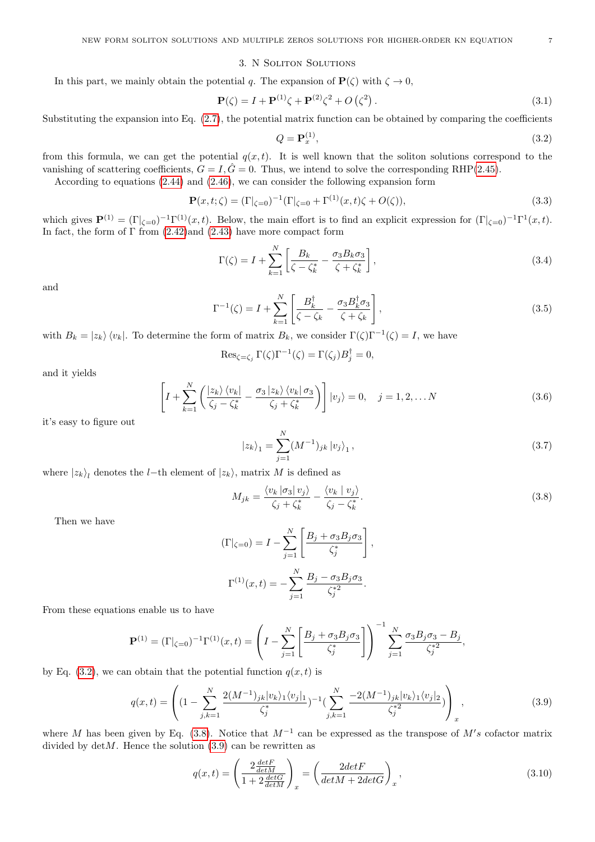#### 3. N Soliton Solutions

In this part, we mainly obtain the potential q. The expansion of  $P(\zeta)$  with  $\zeta \to 0$ ,

$$
\mathbf{P}(\zeta) = I + \mathbf{P}^{(1)}\zeta + \mathbf{P}^{(2)}\zeta^2 + O(\zeta^2). \tag{3.1}
$$

Substituting the expansion into Eq. [\(2.7\)](#page-1-7), the potential matrix function can be obtained by comparing the coefficients

<span id="page-6-0"></span>
$$
Q = \mathbf{P}_x^{(1)},\tag{3.2}
$$

from this formula, we can get the potential  $q(x, t)$ . It is well known that the soliton solutions correspond to the vanishing of scattering coefficients,  $G = I$ ,  $\hat{G} = 0$ . Thus, we intend to solve the corresponding RHP[\(2.45\)](#page-5-2).

According to equations [\(2.44\)](#page-5-1) and [\(2.46\)](#page-5-3), we can consider the following expansion form

$$
\mathbf{P}(x,t;\zeta) = (\Gamma|_{\zeta=0})^{-1} (\Gamma|_{\zeta=0} + \Gamma^{(1)}(x,t)\zeta + O(\zeta)),
$$
\n(3.3)

which gives  $\mathbf{P}^{(1)} = (\Gamma |_{\zeta=0})^{-1} \Gamma^{(1)}(x,t)$ . Below, the main effort is to find an explicit expression for  $(\Gamma |_{\zeta=0})^{-1} \Gamma^{1}(x,t)$ . In fact, the form of  $\Gamma$  from [\(2.42\)](#page-5-4)and [\(2.43\)](#page-5-5) have more compact form

$$
\Gamma(\zeta) = I + \sum_{k=1}^{N} \left[ \frac{B_k}{\zeta - \zeta_k^*} - \frac{\sigma_3 B_k \sigma_3}{\zeta + \zeta_k^*} \right],\tag{3.4}
$$

and

$$
\Gamma^{-1}(\zeta) = I + \sum_{k=1}^{N} \left[ \frac{B_k^{\dagger}}{\zeta - \zeta_k} - \frac{\sigma_3 B_k^{\dagger} \sigma_3}{\zeta + \zeta_k} \right],
$$
\n(3.5)

with  $B_k = |z_k\rangle \langle v_k|$ . To determine the form of matrix  $B_k$ , we consider  $\Gamma(\zeta)\Gamma^{-1}(\zeta) = I$ , we have

$$
\operatorname{Res}_{\zeta=\zeta_j} \Gamma(\zeta) \Gamma^{-1}(\zeta) = \Gamma(\zeta_j) B_j^{\dagger} = 0,
$$

and it yields

$$
\left[I + \sum_{k=1}^{N} \left(\frac{|z_k\rangle\langle v_k|}{\zeta_j - \zeta_k^*} - \frac{\sigma_3|z_k\rangle\langle v_k|\sigma_3}{\zeta_j + \zeta_k^*}\right)\right]|v_j\rangle = 0, \quad j = 1, 2, \dots N
$$
\n(3.6)

it's easy to figure out

$$
|z_k\rangle_1 = \sum_{j=1}^N (M^{-1})_{jk} |v_j\rangle_1, \qquad (3.7)
$$

where  $|z_k\rangle_l$  denotes the *l*-th element of  $|z_k\rangle$ , matrix M is defined as

<span id="page-6-1"></span>
$$
M_{jk} = \frac{\langle v_k \left| \sigma_3 \right| v_j \rangle}{\zeta_j + \zeta_k^*} - \frac{\langle v_k \left| v_j \right\rangle}{\zeta_j - \zeta_k^*}. \tag{3.8}
$$

Then we have

$$
(\Gamma|_{\zeta=0}) = I - \sum_{j=1}^{N} \left[ \frac{B_j + \sigma_3 B_j \sigma_3}{\zeta_j^*} \right],
$$

$$
\Gamma^{(1)}(x, t) = -\sum_{j=1}^{N} \frac{B_j - \sigma_3 B_j \sigma_3}{\zeta_j^*^2}.
$$

From these equations enable us to have

$$
\mathbf{P}^{(1)} = (\Gamma|_{\zeta=0})^{-1} \Gamma^{(1)}(x,t) = \left( I - \sum_{j=1}^{N} \left[ \frac{B_j + \sigma_3 B_j \sigma_3}{\zeta_j^*} \right] \right)^{-1} \sum_{j=1}^{N} \frac{\sigma_3 B_j \sigma_3 - B_j}{\zeta_j^*^2},
$$

by Eq. [\(3.2\)](#page-6-0), we can obtain that the potential function  $q(x, t)$  is

<span id="page-6-2"></span>
$$
q(x,t) = \left( (1 - \sum_{j,k=1}^{N} \frac{2(M^{-1})_{jk} |v_k\rangle_1 \langle v_j|_1}{\zeta_j^*})^{-1} \left( \sum_{j,k=1}^{N} \frac{-2(M^{-1})_{jk} |v_k\rangle_1 \langle v_j|_2}{\zeta_j^*^2} \right) \right)_x, \tag{3.9}
$$

where M has been given by Eq. [\(3.8\)](#page-6-1). Notice that  $M^{-1}$  can be expressed as the transpose of  $M's$  cofactor matrix divided by  $\det M$ . Hence the solution [\(3.9\)](#page-6-2) can be rewritten as

$$
q(x,t) = \left(\frac{2\frac{detF}{detM}}{1+2\frac{detG}{detM}}\right)_x = \left(\frac{2detF}{detM+2detG}\right)_x,
$$
\n(3.10)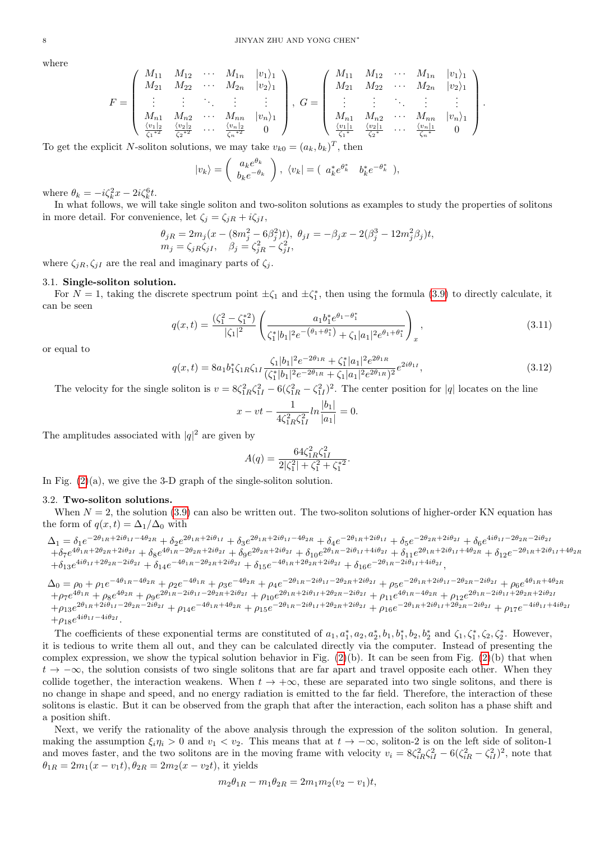where

$$
F = \begin{pmatrix} M_{11} & M_{12} & \cdots & M_{1n} & |v_1\rangle_1 \\ M_{21} & M_{22} & \cdots & M_{2n} & |v_2\rangle_1 \\ \vdots & \vdots & \ddots & \vdots & \vdots \\ M_{n1} & M_{n2} & \cdots & M_{nn} & |v_n\rangle_1 \\ \frac{\langle v_1|_2}{\zeta_1^{*2}} & \frac{\langle v_2|_2}{\zeta_2^{*2}} & \cdots & \frac{\langle v_n|_2}{\zeta_n^{*2}} & 0 \end{pmatrix}, G = \begin{pmatrix} M_{11} & M_{12} & \cdots & M_{1n} & |v_1\rangle_1 \\ M_{21} & M_{22} & \cdots & M_{2n} & |v_2\rangle_1 \\ \vdots & \vdots & \ddots & \vdots & \vdots \\ M_{n1} & M_{n2} & \cdots & M_{nn} & |v_n\rangle_1 \\ \frac{\langle v_1|_1}{\zeta_1^{*}} & \frac{\langle v_2|_1}{\zeta_2^{*}} & \cdots & \frac{\langle v_n|_1}{\zeta_n^{*}} & 0 \end{pmatrix}.
$$

To get the explicit N-soliton solutions, we may take  $v_{k0} = (a_k, b_k)^T$ , then

$$
|v_k\rangle = \left(\begin{array}{c} a_k e^{\theta_k} \\ b_k e^{-\theta_k} \end{array}\right), \ \langle v_k| = \left(\begin{array}{cc} a_k^* e^{\theta_k^*} & b_k^* e^{-\theta_k^*} \end{array}\right),
$$

where  $\theta_k = -i\zeta_k^2 x - 2i\zeta_k^6 t$ .

In what follows, we will take single soliton and two-soliton solutions as examples to study the properties of solitons in more detail. For convenience, let  $\zeta_i = \zeta_{jR} + i\zeta_{jI}$ ,

$$
\begin{array}{l} \theta_{jR}=2m_j(x-(8m_j^2-6\beta_j^2)t),\ \theta_{jI}=-\beta_jx-2(\beta_j^3-12m_j^2\beta_j)t,\\ m_j=\zeta_{jR}\zeta_{jI},\quad \beta_j=\zeta_{jR}^2-\zeta_{jI}^2, \end{array}
$$

where  $\zeta_{iR}, \zeta_{iI}$  are the real and imaginary parts of  $\zeta_i$ .

#### 3.1. Single-soliton solution.

For  $N=1$ , taking the discrete spectrum point  $\pm \zeta_1$  and  $\pm \zeta_1^*$ , then using the formula [\(3.9\)](#page-6-2) to directly calculate, it can be seen

$$
q(x,t) = \frac{(\zeta_1^2 - \zeta_1^{*2})}{|\zeta_1|^2} \left( \frac{a_1 b_1^* e^{\theta_1 - \theta_1^*}}{\zeta_1^* |b_1|^2 e^{-(\theta_1 + \theta_1^*)} + \zeta_1 |a_1|^2 e^{\theta_1 + \theta_1^*}} \right)_x,
$$
\n(3.11)

or equal to

$$
q(x,t) = 8a_1b_1^*\zeta_{1R}\zeta_{1I}\frac{\zeta_1|b_1|^2e^{-2\theta_{1R}} + \zeta_1^*|a_1|^2e^{2\theta_{1R}}}{(\zeta_1^*|b_1|^2e^{-2\theta_{1R}} + \zeta_1|a_1|^2e^{2\theta_{1R}})^2}e^{2i\theta_{1I}},
$$
\n(3.12)

The velocity for the single soliton is  $v = 8\zeta_{1R}^2 \zeta_{1I}^2 - 6(\zeta_{1R}^2 - \zeta_{1I}^2)^2$ . The center position for |q| locates on the line

$$
x - vt - \frac{1}{4\zeta_{1R}^2 \zeta_{1I}^2} ln \frac{|b_1|}{|a_1|} = 0.
$$

The amplitudes associated with  $|q|^2$  are given by

$$
A(q) = \frac{64\zeta_{1R}^2 \zeta_{1I}^2}{2|\zeta_1^2| + \zeta_1^2 + \zeta_1^{*2}}.
$$

In Fig.  $(2)(a)$ , we give the 3-D graph of the single-soliton solution.

## 3.2. Two-soliton solutions.

When  $N = 2$ , the solution [\(3.9\)](#page-6-2) can also be written out. The two-soliton solutions of higher-order KN equation has the form of  $q(x, t) = \Delta_1/\Delta_0$  with

 $\Delta_1 = \delta_1 e^{-2\theta_{1R} + 2i\theta_{1I} - 4\theta_{2R}} + \delta_2 e^{2\theta_{1R} + 2i\theta_{1I}} + \delta_3 e^{2\theta_{1R} + 2i\theta_{1I} - 4\theta_{2R}} + \delta_4 e^{-2\theta_{1R} + 2i\theta_{1I}} + \delta_5 e^{-2\theta_{2R} + 2i\theta_{2I}} + \delta_6 e^{4i\theta_{1I} - 2\theta_{2R} - 2i\theta_{2R}}$  $+ \delta_7 e^{4\theta_{1R}+2\theta_{2R}+2i\theta_{2I}} + \delta_8 e^{4\theta_{1R}-2\theta_{2R}+2i\theta_{2I}} + \delta_9 e^{2\theta_{2R}+2i\theta_{2I}} + \delta_{10} e^{2\theta_{1R}-2i\theta_{1I}+4i\theta_{2I}} + \delta_{11} e^{2\theta_{1R}+2i\theta_{1I}+4\theta_{2R}} + \delta_{12} e^{-2\theta_{1R}+2i\theta_{1I}+4\theta_{2R}}$  $+\delta_{13}e^{4i\theta_{1I}+2\theta_{2R}-2i\theta_{2I}} +\delta_{14}e^{-4\theta_{1R}-2\theta_{2R}+2i\theta_{2I}} +\delta_{15}e^{-4\theta_{1R}+2\theta_{2R}+2i\theta_{2I}} +\delta_{16}e^{-2\theta_{1R}-2i\theta_{1I}+4i\theta_{2I}},$ 

 $\Delta_0 = \rho_0 + \rho_1 e^{-4\theta_{1R} - 4\theta_{2R}} + \rho_2 e^{-4\theta_{1R}} + \rho_3 e^{-4\theta_{2R}} + \rho_4 e^{-2\theta_{1R} - 2i\theta_{1I} - 2\theta_{2R} + 2i\theta_{2I}} + \rho_5 e^{-2\theta_{1R} + 2i\theta_{1I} - 2\theta_{2R} - 2i\theta_{2I}} + \rho_6 e^{4\theta_{1R} + 4\theta_{2R}}$  $+ \rho_7 e^{4 \theta_{1R}}+ \rho_8 e^{4 \theta_{2R}}+ \rho_9 e^{2 \theta_{1R}-2 i \theta_{1I}-2 \theta_{2R}+2 i \theta_{2I}}+ \rho_{10} e^{2 \theta_{1R}+2 i \theta_{1I}+2 \theta_{2R}-2 i \theta_{2I}}+ \rho_{11} e^{4 \theta_{1R}-4 \theta_{2R}}+ \rho_{12} e^{2 \theta_{1R}-2 i \theta_{1I}+2 \theta_{2R}+2 i \theta_{2I}}$  $+ \rho_{13}e^{2\theta_{1R}+2i\theta_{1I}-2\theta_{2R}-2i\theta_{2I}} + \rho_{14}e^{-4\theta_{1R}+4\theta_{2R}} + \rho_{15}e^{-2\theta_{1R}-2i\theta_{1I}+2\theta_{2R}+2i\theta_{2I}} + \rho_{16}e^{-2\theta_{1R}+2i\theta_{1I}+2\theta_{2R}-2i\theta_{2I}} + \rho_{17}e^{-4i\theta_{1I}+4i\theta_{2I}}$  $+\rho_{18}e^{4i\theta_{1I}-4i\theta_{2I}}.$ 

The coefficients of these exponential terms are constituted of  $a_1, a_1^*, a_2, a_2^*, b_1, b_1^*, b_2, b_2^*$  and  $\zeta_1, \zeta_1^*, \zeta_2, \zeta_2^*$ . However, it is tedious to write them all out, and they can be calculated directly via the computer. Instead of presenting the complex expression, we show the typical solution behavior in Fig.  $(2)(b)$ . It can be seen from Fig.  $(2)(b)$  that when  $t \to -\infty$ , the solution consists of two single solitons that are far apart and travel opposite each other. When they collide together, the interaction weakens. When  $t \to +\infty$ , these are separated into two single solitons, and there is no change in shape and speed, and no energy radiation is emitted to the far field. Therefore, the interaction of these solitons is elastic. But it can be observed from the graph that after the interaction, each soliton has a phase shift and a position shift.

Next, we verify the rationality of the above analysis through the expression of the soliton solution. In general, making the assumption  $\xi_i \eta_i > 0$  and  $v_1 < v_2$ . This means that at  $t \to -\infty$ , soliton-2 is on the left side of soliton-1 and moves faster, and the two solitons are in the moving frame with velocity  $v_i = 8\zeta_{iR}^2\zeta_{iI}^2 - 6(\zeta_{iR}^2 - \zeta_{iI}^2)^2$ , note that  $\theta_{1R} = 2m_1(x - v_1t), \theta_{2R} = 2m_2(x - v_2t)$ , it yields

$$
m_2\theta_{1R} - m_1\theta_{2R} = 2m_1m_2(v_2 - v_1)t,
$$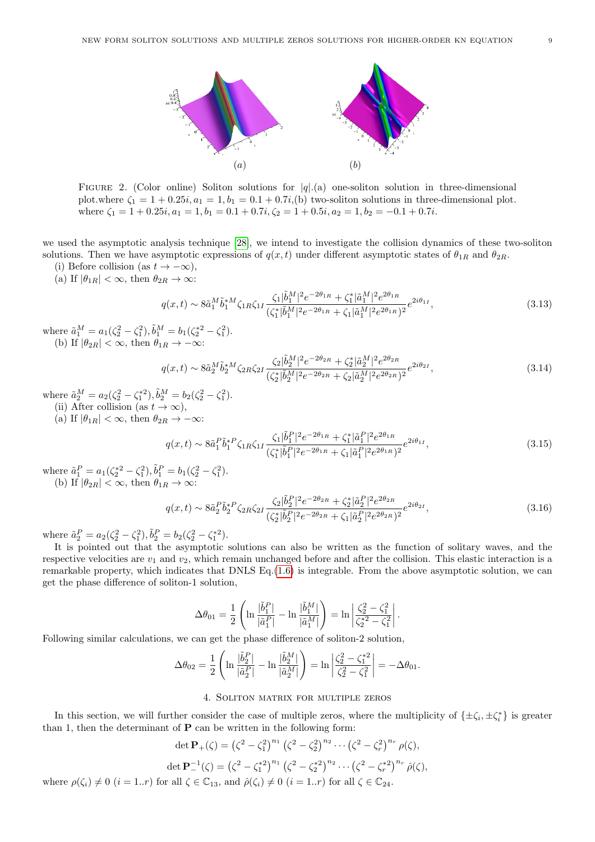<span id="page-8-0"></span>

FIGURE 2. (Color online) Soliton solutions for  $|q|$ .(a) one-soliton solution in three-dimensional plot.where  $\zeta_1 = 1 + 0.25i$ ,  $a_1 = 1$ ,  $b_1 = 0.1 + 0.7i$ , (b) two-soliton solutions in three-dimensional plot. where  $\zeta_1 = 1 + 0.25i$ ,  $a_1 = 1$ ,  $b_1 = 0.1 + 0.7i$ ,  $\zeta_2 = 1 + 0.5i$ ,  $a_2 = 1$ ,  $b_2 = -0.1 + 0.7i$ .

we used the asymptotic analysis technique [\[28\]](#page-12-6), we intend to investigate the collision dynamics of these two-soliton solutions. Then we have asymptotic expressions of  $q(x, t)$  under different asymptotic states of  $\theta_{1R}$  and  $\theta_{2R}$ .

- (i) Before collision (as  $t \to -\infty$ ),
- (a) If  $|\theta_{1R}| < \infty$ , then  $\theta_{2R} \to \infty$ :

$$
q(x,t) \sim 8\tilde{a}_1^M \tilde{b}_1^{*M} \zeta_{1R} \zeta_{1I} \frac{\zeta_1 |\tilde{b}_1^M|^2 e^{-2\theta_{1R}} + \zeta_1^* |\tilde{a}_1^M|^2 e^{2\theta_{1R}}}{(\zeta_1^* |\tilde{b}_1^M|^2 e^{-2\theta_{1R}} + \zeta_1 |\tilde{a}_1^M|^2 e^{2\theta_{1R}})^2} e^{2i\theta_{1I}},\tag{3.13}
$$

where  $\tilde{a}_1^M = a_1(\zeta_2^2 - \zeta_1^2), \tilde{b}_1^M = b_1(\zeta_2^{*2} - \zeta_1^2).$ (b) If  $|\theta_{2R}| < \infty$ , then  $\theta_{1R} \to -\infty$ :

$$
q(x,t) \sim 8\tilde{a}_2^M \tilde{b}_2^{*M} \zeta_{2R} \zeta_{2I} \frac{\zeta_2 |\tilde{b}_2^M|^2 e^{-2\theta_{2R}} + \zeta_2^* |\tilde{a}_2^M|^2 e^{2\theta_{2R}}}{(\zeta_2^* |\tilde{b}_2^M|^2 e^{-2\theta_{2R}} + \zeta_2 |\tilde{a}_2^M|^2 e^{2\theta_{2R}})^2} e^{2i\theta_{2I}},\tag{3.14}
$$

where  $\tilde{a}_2^M = a_2(\zeta_2^2 - \zeta_1^{*2}), \tilde{b}_2^M = b_2(\zeta_2^2 - \zeta_1^2).$ (ii) After collision (as  $t \to \infty$ ),

(a) If  $|\theta_{1R}| < \infty$ , then  $\theta_{2R} \rightarrow -\infty$ :

$$
q(x,t) \sim 8\tilde{a}_1^P \tilde{b}_1^{*P} \zeta_{1R} \zeta_{1I} \frac{\zeta_1 |\tilde{b}_1^P|^2 e^{-2\theta_{1R}} + \zeta_1^* |\tilde{a}_1^P|^2 e^{2\theta_{1R}}}{(\zeta_1^* |\tilde{b}_1^P|^2 e^{-2\theta_{1R}} + \zeta_1 |\tilde{a}_1^P|^2 e^{2\theta_{1R}})^2} e^{2i\theta_{1I}},\tag{3.15}
$$

where  $\tilde{a}_1^P = a_1(\zeta_2^{*2} - \zeta_1^2), \tilde{b}_1^P = b_1(\zeta_2^2 - \zeta_1^2).$ (b) If  $|\theta_{2R}| < \infty$ , then  $\theta_{1R} \to \infty$ :

$$
q(x,t) \sim 8\tilde{a}_2^P \tilde{b}_2^* \zeta_{2R} \zeta_{2I} \frac{\zeta_2 |\tilde{b}_2^P|^2 e^{-2\theta_{2R}} + \zeta_2^* |\tilde{a}_2^P|^2 e^{2\theta_{2R}}}{(\zeta_2^* |\tilde{b}_2^P|^2 e^{-2\theta_{2R}} + \zeta_1 |\tilde{a}_2^P|^2 e^{2\theta_{2R}})^2} e^{2i\theta_{2I}},\tag{3.16}
$$

where  $\tilde{a}_2^P = a_2(\zeta_2^2 - \zeta_1^2), \tilde{b}_2^P = b_2(\zeta_2^2 - \zeta_1^{*2}).$ 

It is pointed out that the asymptotic solutions can also be written as the function of solitary waves, and the respective velocities are  $v_1$  and  $v_2$ , which remain unchanged before and after the collision. This elastic interaction is a remarkable property, which indicates that DNLS Eq.[\(1.6\)](#page-0-3) is integrable. From the above asymptotic solution, we can get the phase difference of soliton-1 solution,

$$
\Delta \theta_{01} = \frac{1}{2} \left( \ln \frac{|\tilde{b}_1^P|}{|\tilde{a}_1^P|} - \ln \frac{|\tilde{b}_1^M|}{|\tilde{a}_1^M|} \right) = \ln \left| \frac{\zeta_2^2 - \zeta_1^2}{\zeta_2^{*2} - \zeta_1^2} \right|.
$$

Following similar calculations, we can get the phase difference of soliton-2 solution,

$$
\Delta \theta_{02} = \frac{1}{2} \left( \ln \frac{|\tilde{b}_2^P|}{|\tilde{a}_2^P|} - \ln \frac{|\tilde{b}_2^M|}{|\tilde{a}_2^M|} \right) = \ln \left| \frac{\zeta_2^2 - \zeta_1^{*2}}{\zeta_2^2 - \zeta_1^2} \right| = -\Delta \theta_{01}.
$$

## 4. Soliton matrix for multiple zeros

In this section, we will further consider the case of multiple zeros, where the multiplicity of  $\{\pm \zeta_i, \pm \zeta_i^*\}$  is greater than 1, then the determinant of  $P$  can be written in the following form:

$$
\det \mathbf{P}_{+}(\zeta) = (\zeta^{2} - \zeta_{1}^{2})^{n_{1}} (\zeta^{2} - \zeta_{2}^{2})^{n_{2}} \cdots (\zeta^{2} - \zeta_{r}^{2})^{n_{r}} \rho(\zeta),
$$
  

$$
\det \mathbf{P}_{-}^{-1}(\zeta) = (\zeta^{2} - \zeta_{1}^{*2})^{n_{1}} (\zeta^{2} - \zeta_{2}^{*2})^{n_{2}} \cdots (\zeta^{2} - \zeta_{r}^{*2})^{n_{r}} \hat{\rho}(\zeta),
$$
  
where  $\rho(\zeta_{i}) \neq 0$  ( $i = 1..r$ ) for all  $\zeta \in \mathbb{C}_{13}$ , and  $\hat{\rho}(\zeta_{i}) \neq 0$  ( $i = 1..r$ ) for all  $\zeta \in \mathbb{C}_{24}$ .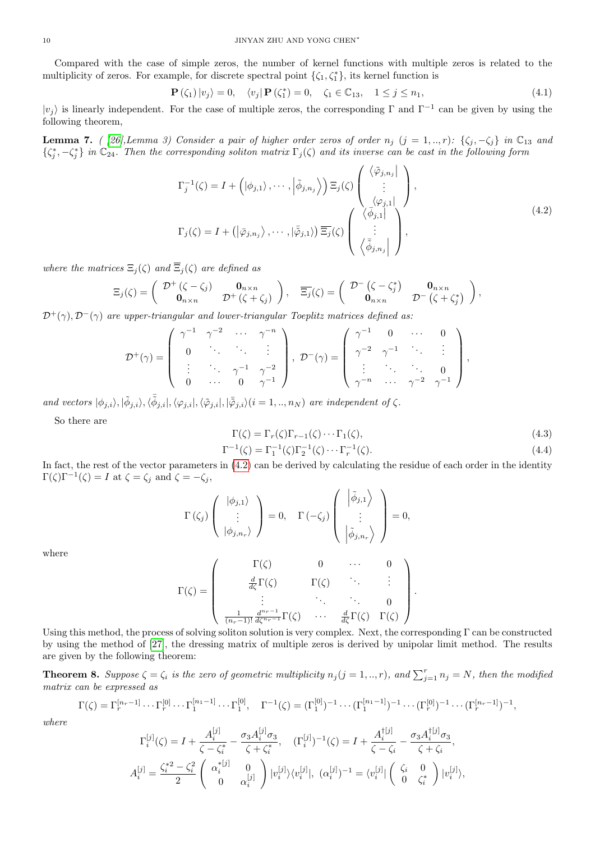Compared with the case of simple zeros, the number of kernel functions with multiple zeros is related to the multiplicity of zeros. For example, for discrete spectral point  $\{\zeta_1, \zeta_1^*\}$ , its kernel function is

$$
\mathbf{P}(\zeta_1)|v_j\rangle = 0, \quad \langle v_j|\mathbf{P}(\zeta_1^*)=0, \quad \zeta_1 \in \mathbb{C}_{13}, \quad 1 \le j \le n_1,\tag{4.1}
$$

 $|v_j\rangle$  is linearly independent. For the case of multiple zeros, the corresponding Γ and  $\Gamma^{-1}$  can be given by using the following theorem,

**Lemma 7.** ( [\[26\]](#page-12-7),Lemma 3) Consider a pair of higher order zeros of order  $n_j$  (j = 1,.., r): { $\zeta_j$ ,  $-\zeta_j$ } in  $\mathbb{C}_{13}$  and  $\{\zeta_j^*, -\zeta_j^*\}$  in  $\mathbb{C}_{24}$ . Then the corresponding soliton matrix  $\Gamma_j(\zeta)$  and its inverse can be cast in the following form

<span id="page-9-0"></span>
$$
\Gamma_j^{-1}(\zeta) = I + (|\phi_{j,1}\rangle, \cdots, |\tilde{\phi}_{j,n_j}\rangle) \Xi_j(\zeta) \begin{pmatrix} \langle \tilde{\varphi}_{j,n_j} | \\ \vdots \\ \langle \varphi_{j,1} | \\ \langle \tilde{\phi}_{j,1} | \\ \langle \tilde{\phi}_{j,1} | \\ \langle \tilde{\phi}_{j,n_j} | \rangle \end{pmatrix},
$$
\n
$$
\Gamma_j(\zeta) = I + (|\bar{\varphi}_{j,n_j}\rangle, \cdots, |\tilde{\varphi}_{j,1}\rangle) \overline{\Xi_j}(\zeta) \begin{pmatrix} \langle \tilde{\varphi}_{j,n_j} | \\ \vdots \\ \langle \tilde{\phi}_{j,n_j} | \\ \langle \tilde{\phi}_{j,n_j} | \rangle \end{pmatrix},
$$
\n
$$
(4.2)
$$

where the matrices  $\Xi_i(\zeta)$  and  $\overline{\Xi}_i(\zeta)$  are defined as

$$
\Xi_j(\zeta) = \begin{pmatrix} \mathcal{D}^+(\zeta - \zeta_j) & \mathbf{0}_{n \times n} \\ \mathbf{0}_{n \times n} & \mathcal{D}^+(\zeta + \zeta_j) \end{pmatrix}, \quad \overline{\Xi_j}(\zeta) = \begin{pmatrix} \mathcal{D}^-(\zeta - \zeta_j^*) & \mathbf{0}_{n \times n} \\ \mathbf{0}_{n \times n} & \mathcal{D}^-(\zeta + \zeta_j^*) \end{pmatrix},
$$

 $\mathcal{D}^+(\gamma), \mathcal{D}^-(\gamma)$  are upper-triangular and lower-triangular Toeplitz matrices defined as:

$$
\mathcal{D}^+(\gamma) = \left( \begin{array}{cccc} \gamma^{-1} & \gamma^{-2} & \cdots & \gamma^{-n} \\ 0 & \ddots & \ddots & \vdots \\ \vdots & \ddots & \gamma^{-1} & \gamma^{-2} \\ 0 & \cdots & 0 & \gamma^{-1} \end{array} \right), \ \mathcal{D}^-(\gamma) = \left( \begin{array}{cccc} \gamma^{-1} & 0 & \cdots & 0 \\ \gamma^{-2} & \gamma^{-1} & \ddots & \vdots \\ \vdots & \ddots & \ddots & 0 \\ \gamma^{-n} & \cdots & \gamma^{-2} & \gamma^{-1} \end{array} \right),
$$

and vectors  $|\phi_{j,i}\rangle, |\tilde{\phi}_{j,i}\rangle, \langle \tilde{\phi}_{j,i}|, \langle \varphi_{j,i}|, |\tilde{\varphi}_{j,i}\rangle$  (i = 1, .., n<sub>N</sub>) are independent of  $\zeta$ .

So there are

$$
\Gamma(\zeta) = \Gamma_r(\zeta)\Gamma_{r-1}(\zeta)\cdots\Gamma_1(\zeta),\tag{4.3}
$$

$$
\Gamma^{-1}(\zeta) = \Gamma_1^{-1}(\zeta)\Gamma_2^{-1}(\zeta)\cdots\Gamma_r^{-1}(\zeta). \tag{4.4}
$$

In fact, the rest of the vector parameters in  $(4.2)$  can be derived by calculating the residue of each order in the identity  $\Gamma(\zeta)\Gamma^{-1}(\zeta) = I$  at  $\zeta = \zeta_j$  and  $\zeta = -\zeta_j$ ,

$$
\Gamma(\zeta_j)\left(\begin{array}{c}|\phi_{j,1}\rangle\\ \vdots\\ |\phi_{j,n_r}\rangle\end{array}\right)=0,\quad \Gamma(-\zeta_j)\left(\begin{array}{c}|\tilde{\phi}_{j,1}\rangle\\ \vdots\\ |\tilde{\phi}_{j,n_r}\rangle\end{array}\right)=0,
$$

where

$$
\Gamma(\zeta) = \begin{pmatrix}\n\Gamma(\zeta) & 0 & \cdots & 0 \\
\frac{d}{d\zeta}\Gamma(\zeta) & \Gamma(\zeta) & \ddots & \vdots \\
\vdots & \ddots & \ddots & 0 \\
\frac{1}{(n_r-1)!}\frac{d^{n_r-1}}{d\zeta^{n_r-1}}\Gamma(\zeta) & \cdots & \frac{d}{d\zeta}\Gamma(\zeta) & \Gamma(\zeta)\n\end{pmatrix}.
$$

Using this method, the process of solving soliton solution is very complex. Next, the corresponding Γ can be constructed by using the method of [\[27\]](#page-12-8), the dressing matrix of multiple zeros is derived by unipolar limit method. The results are given by the following theorem:

**Theorem 8.** Suppose  $\zeta = \zeta_i$  is the zero of geometric multiplicity  $n_j$   $(j = 1, ..., r)$ , and  $\sum_{j=1}^r n_j = N$ , then the modified matrix can be expressed as

$$
\Gamma(\zeta) = \Gamma_r^{[n_r-1]} \cdots \Gamma_r^{[0]} \cdots \Gamma_1^{[n_1-1]} \cdots \Gamma_1^{[0]}, \quad \Gamma^{-1}(\zeta) = (\Gamma_1^{[0]})^{-1} \cdots (\Gamma_1^{[n_1-1]})^{-1} \cdots (\Gamma_r^{[0]})^{-1} \cdots (\Gamma_r^{[n_r-1]})^{-1},
$$

where

$$
\Gamma_i^{[j]}(\zeta) = I + \frac{A_i^{[j]}}{\zeta - \zeta_i^*} - \frac{\sigma_3 A_i^{[j]} \sigma_3}{\zeta + \zeta_i^*}, \quad (\Gamma_i^{[j]})^{-1}(\zeta) = I + \frac{A_i^{\dagger [j]}}{\zeta - \zeta_i} - \frac{\sigma_3 A_i^{\dagger [j]} \sigma_3}{\zeta + \zeta_i},
$$
  

$$
A_i^{[j]} = \frac{\zeta_i^{*2} - \zeta_i^2}{2} \begin{pmatrix} \alpha_i^{*[j]} & 0 \\ 0 & \alpha_i^{[j]} \end{pmatrix} |v_i^{[j]}\rangle \langle v_i^{[j]}|, \quad (\alpha_i^{[j]})^{-1} = \langle v_i^{[j]}| \begin{pmatrix} \zeta_i & 0 \\ 0 & \zeta_i^* \end{pmatrix} |v_i^{[j]}\rangle,
$$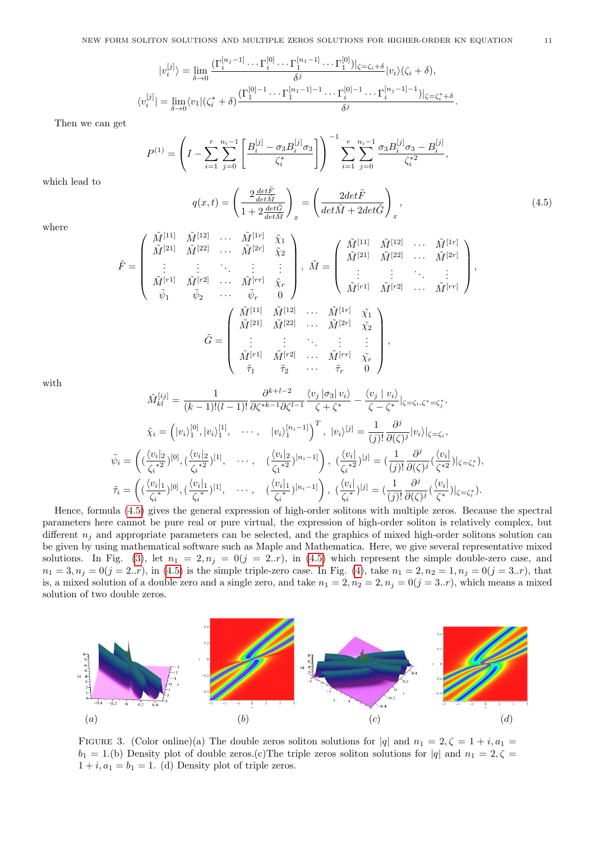$$
|v_i^{[j]}\rangle = \lim_{\delta \to 0} \frac{(\Gamma_i^{[n_j-1]} \cdots \Gamma_i^{[0]} \cdots \Gamma_1^{[n_1-1]} \cdots \Gamma_1^{[0]})|_{\zeta = \zeta_i + \delta}}{\delta^j} |v_i\rangle (\zeta_i + \delta),
$$
  

$$
\langle v_i^{[j]}| = \lim_{\delta \to 0} \langle v_1 | (\zeta_i^* + \delta) \frac{(\Gamma_1^{[0]-1} \cdots \Gamma_1^{[n_1-1]-1} \cdots \Gamma_i^{[0]-1} \cdots \Gamma_i^{[n_j-1]-1})|_{\zeta = \zeta_i^* + \delta}}{\delta^j}.
$$

Then we can get

$$
P^{(1)} = \left( I - \sum_{i=1}^{r} \sum_{j=0}^{n_i-1} \left[ \frac{B_i^{[j]} - \sigma_3 B_i^{[j]} \sigma_3}{\zeta_i^*} \right] \right)^{-1} \sum_{i=1}^{r} \sum_{j=0}^{n_i-1} \frac{\sigma_3 B_i^{[j]} \sigma_3 - B_i^{[j]}}{\zeta_i^{*2}},
$$

which lead to

<span id="page-10-0"></span>
$$
q(x,t) = \left(\frac{2\frac{det\tilde{F}}{det\tilde{M}}}{1 + 2\frac{det\tilde{G}}{det\tilde{M}}}\right)_x = \left(\frac{2det\tilde{F}}{det\tilde{M} + 2det\tilde{G}}\right)_x,
$$
\n(4.5)

where

$$
\tilde{F} = \begin{pmatrix}\n\tilde{M}^{[11]} & \tilde{M}^{[12]} & \cdots & \tilde{M}^{[1r]} & \tilde{\chi}_1 \\
\tilde{M}^{[21]} & \tilde{M}^{[22]} & \cdots & \tilde{M}^{[2r]} & \tilde{\chi}_2 \\
\vdots & \vdots & \ddots & \vdots & \vdots \\
\tilde{M}^{[r1]} & \tilde{M}^{[r2]} & \cdots & \tilde{M}^{[rr]} & \tilde{\chi}_r \\
\tilde{\psi}_1 & \tilde{\psi}_2 & \cdots & \tilde{\psi}_r & 0\n\end{pmatrix}, \ \tilde{M} = \begin{pmatrix}\n\tilde{M}^{[11]} & \tilde{M}^{[12]} & \cdots & \tilde{M}^{[1r]} \\
\tilde{M}^{[21]} & \tilde{M}^{[22]} & \cdots & \tilde{M}^{[2r]} \\
\vdots & \vdots & \ddots & \vdots \\
\tilde{M}^{[r1]} & \tilde{M}^{[r2]} & \cdots & \tilde{M}^{[2r]} & \tilde{\chi}_2 \\
\tilde{M}^{[21]} & \tilde{M}^{[22]} & \cdots & \tilde{M}^{[2r]} & \tilde{\chi}_2 \\
\vdots & \vdots & \ddots & \vdots & \vdots \\
\tilde{M}^{[r1]} & \tilde{M}^{[r2]} & \cdots & \tilde{M}^{[rr]} & \tilde{\chi}_r \\
\tilde{\tau}_1 & \tilde{\tau}_2 & \cdots & \tilde{\tau}_r & 0\n\end{pmatrix},
$$

with

$$
\tilde{M}_{kl}^{[ij]} = \frac{1}{(k-1)!(l-1)!} \frac{\partial^{k+l-2}}{\partial \zeta^{*k-1} \partial \zeta^{l-1}} \frac{\langle v_j | \sigma_3 | v_i \rangle}{\zeta + \zeta^*} - \frac{\langle v_j | v_i \rangle}{\zeta - \zeta^*} |_{\zeta = \zeta_i, \zeta^* = \zeta_j^*}.
$$

$$
\tilde{\chi}_i = (|v_i\rangle_1^{[0]}, |v_i\rangle_1^{[1]}, \cdots, |v_i\rangle_1^{[n_i-1]})^T, |v_i\rangle^{[j]} = \frac{1}{(j)!} \frac{\partial^j}{\partial(\zeta)^j} |v_i\rangle|_{\zeta = \zeta_i},
$$

$$
\tilde{\psi}_i = ( \frac{\langle v_i |_2}{\zeta_i^{*2}})^{[0]}, (\frac{\langle v_i |_2}{\zeta_i^{*2}})^{[1]}, \cdots, (\frac{\langle v_i |_2}{\zeta_i^{*2}})^{[n_i-1]} \rangle, (\frac{\langle v_i |_2}{\zeta_i^{*2}})^{[j]} = (\frac{1}{(j)!} \frac{\partial^j}{\partial(\zeta)^j} (\frac{\langle v_i |_2}{\zeta^*}) |_{\zeta = \zeta_i^*}),
$$

$$
\tilde{\tau}_i = ( \frac{\langle v_i |_1}{\zeta_i^{*}})^{[0]}, (\frac{\langle v_i |_1}{\zeta_i^{*}})^{[1]}, \cdots, (\frac{\langle v_i |_1}{\zeta_i^{*}})^{[n_i-1]} \rangle, (\frac{\langle v_i |_1}{\zeta_i^{*}})^{[j]} = (\frac{1}{(j)!} \frac{\partial^j}{\partial(\zeta)^j} (\frac{\langle v_i |_2}{\zeta^*}) |_{\zeta = \zeta_i^*}).
$$

Hence, formula [\(4.5\)](#page-10-0) gives the general expression of high-order solitons with multiple zeros. Because the spectral parameters here cannot be pure real or pure virtual, the expression of high-order soliton is relatively complex, but different  $n_i$  and appropriate parameters can be selected, and the graphics of mixed high-order solitons solution can be given by using mathematical software such as Maple and Mathematica. Here, we give several representative mixed solutions. In Fig. [\(3\)](#page-10-1), let  $n_1 = 2, n_j = 0$  (j = 2..*r*), in [\(4.5\)](#page-10-0) which represent the simple double-zero case, and  $n_1 = 3, n_j = 0(j = 2..r)$ , in [\(4.5\)](#page-10-0) is the simple triple-zero case. In Fig. [\(4\)](#page-11-12), take  $n_1 = 2, n_2 = 1, n_j = 0(j = 3..r)$ , that is, a mixed solution of a double zero and a single zero, and take  $n_1 = 2, n_2 = 2, n_j = 0$   $(j = 3..r)$ , which means a mixed solution of two double zeros.

<span id="page-10-1"></span>

FIGURE 3. (Color online)(a) The double zeros soliton solutions for  $|q|$  and  $n_1 = 2, \zeta = 1 + i, a_1 =$  $b_1 = 1.$ (b) Density plot of double zeros.(c) The triple zeros soliton solutions for |q| and  $n_1 = 2, \zeta =$  $1 + i$ ,  $a_1 = b_1 = 1$ . (d) Density plot of triple zeros.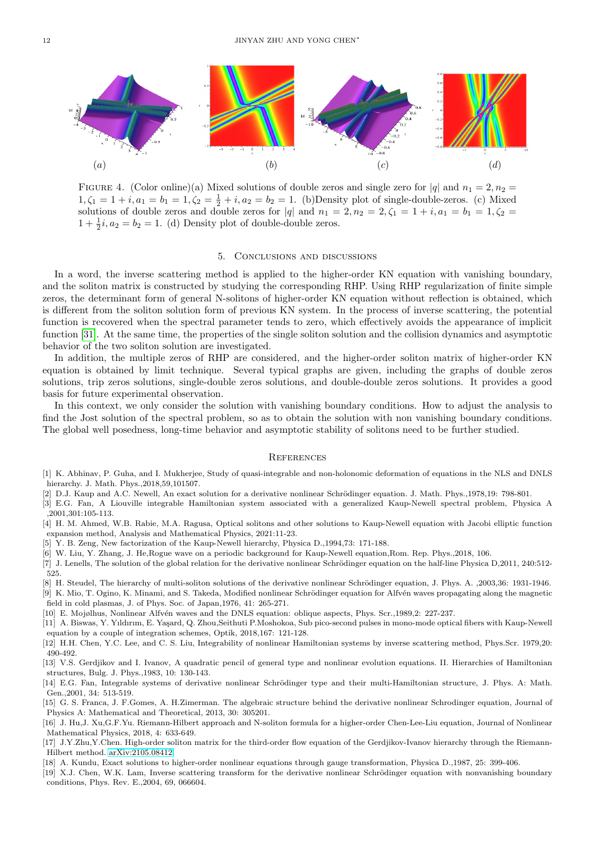<span id="page-11-12"></span>

FIGURE 4. (Color online)(a) Mixed solutions of double zeros and single zero for  $|q|$  and  $n_1 = 2, n_2 =$  $1, \zeta_1 = 1 + i, a_1 = b_1 = 1, \zeta_2 = \frac{1}{2} + i, a_2 = b_2 = 1.$  (b) Density plot of single-double-zeros. (c) Mixed solutions of double zeros and double zeros for |q| and  $n_1 = 2, n_2 = 2, \zeta_1 = 1 + i, a_1 = b_1 = 1, \zeta_2 =$  $1 + \frac{1}{2}i$ ,  $a_2 = b_2 = 1$ . (d) Density plot of double-double zeros.

## 5. Conclusions and discussions

In a word, the inverse scattering method is applied to the higher-order KN equation with vanishing boundary, and the soliton matrix is constructed by studying the corresponding RHP. Using RHP regularization of finite simple zeros, the determinant form of general N-solitons of higher-order KN equation without reflection is obtained, which is different from the soliton solution form of previous KN system. In the process of inverse scattering, the potential function is recovered when the spectral parameter tends to zero, which effectively avoids the appearance of implicit function [\[31\]](#page-12-4). At the same time, the properties of the single soliton solution and the collision dynamics and asymptotic behavior of the two soliton solution are investigated.

In addition, the multiple zeros of RHP are considered, and the higher-order soliton matrix of higher-order KN equation is obtained by limit technique. Several typical graphs are given, including the graphs of double zeros solutions, trip zeros solutions, single-double zeros solutions, and double-double zeros solutions. It provides a good basis for future experimental observation.

In this context, we only consider the solution with vanishing boundary conditions. How to adjust the analysis to find the Jost solution of the spectral problem, so as to obtain the solution with non vanishing boundary conditions. The global well posedness, long-time behavior and asymptotic stability of solitons need to be further studied.

#### **REFERENCES**

- <span id="page-11-0"></span>[1] K. Abhinav, P. Guha, and I. Mukherjee, Study of quasi-integrable and non-holonomic deformation of equations in the NLS and DNLS hierarchy. J. Math. Phys.,2018,59,101507.
- <span id="page-11-1"></span>[2] D.J. Kaup and A.C. Newell, An exact solution for a derivative nonlinear Schrödinger equation. J. Math. Phys.,1978,19: 798-801.
- [3] E.G. Fan, A Liouville integrable Hamiltonian system associated with a generalized Kaup-Newell spectral problem, Physica A ,2001,301:105-113.
- [4] H. M. Ahmed, W.B. Rabie, M.A. Ragusa, Optical solitons and other solutions to Kaup-Newell equation with Jacobi elliptic function expansion method, Analysis and Mathematical Physics, 2021:11-23.
- [5] Y. B. Zeng, New factorization of the Kaup-Newell hierarchy, Physica D.,1994,73: 171-188.
- [6] W. Liu, Y. Zhang, J. He,Rogue wave on a periodic background for Kaup-Newell equation,Rom. Rep. Phys.,2018, 106.
- [7] J. Lenells, The solution of the global relation for the derivative nonlinear Schrödinger equation on the half-line Physica D,2011, 240:512-525.
- <span id="page-11-2"></span>[8] H. Steudel, The hierarchy of multi-soliton solutions of the derivative nonlinear Schrödinger equation, J. Phys. A. ,2003,36: 1931-1946.
- <span id="page-11-3"></span>[9] K. Mio, T. Ogino, K. Minami, and S. Takeda, Modified nonlinear Schrödinger equation for Alfvén waves propagating along the magnetic field in cold plasmas, J. of Phys. Soc. of Japan,1976, 41: 265-271.
- [10] E. Mojølhus, Nonlinear Alfvén waves and the DNLS equation: oblique aspects, Phys. Scr.,1989,2: 227-237.
- <span id="page-11-4"></span>[11] A. Biswas, Y. Yıldırım, E. Yaşard, Q. Zhou,Seithuti P.Moshokoa, Sub pico-second pulses in mono-mode optical fibers with Kaup-Newell equation by a couple of integration schemes, Optik, 2018,167: 121-128.
- <span id="page-11-5"></span>[12] H.H. Chen, Y.C. Lee, and C. S. Liu, Integrability of nonlinear Hamiltonian systems by inverse scattering method, Phys.Scr. 1979,20: 490-492.
- <span id="page-11-6"></span>[13] V.S. Gerdjikov and I. Ivanov, A quadratic pencil of general type and nonlinear evolution equations. II. Hierarchies of Hamiltonian structures, Bulg. J. Phys.,1983, 10: 130-143.
- <span id="page-11-7"></span>[14] E.G. Fan, Integrable systems of derivative nonlinear Schrödinger type and their multi-Hamiltonian structure, J. Phys. A: Math. Gen.,2001, 34: 513-519.
- <span id="page-11-8"></span>[15] G. S. Franca, J. F.Gomes, A. H.Zimerman. The algebraic structure behind the derivative nonlinear Schrodinger equation, Journal of Physics A: Mathematical and Theoretical, 2013, 30: 305201.
- <span id="page-11-9"></span>[16] J. Hu,J. Xu,G.F.Yu. Riemann-Hilbert approach and N-soliton formula for a higher-order Chen-Lee-Liu equation, Journal of Nonlinear Mathematical Physics, 2018, 4: 633-649.
- <span id="page-11-10"></span>[17] J.Y.Zhu,Y.Chen. High-order soliton matrix for the third-order flow equation of the Gerdjikov-Ivanov hierarchy through the Riemann-Hilbert method. [arXiv:2105.08412.](http://arxiv.org/abs/2105.08412)
- <span id="page-11-11"></span>[18] A. Kundu, Exact solutions to higher-order nonlinear equations through gauge transformation, Physica D.,1987, 25: 399-406.
- [19] X.J. Chen, W.K. Lam, Inverse scattering transform for the derivative nonlinear Schrödinger equation with nonvanishing boundary conditions, Phys. Rev. E.,2004, 69, 066604.